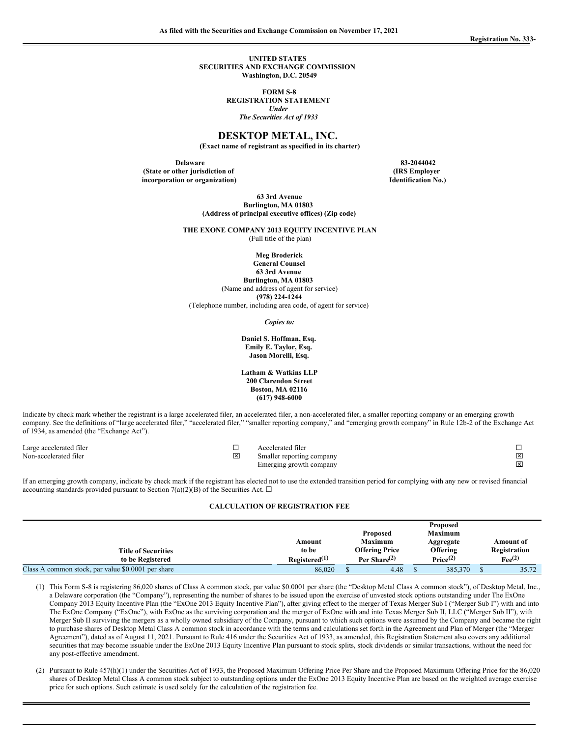**UNITED STATES SECURITIES AND EXCHANGE COMMISSION Washington, D.C. 20549**

> **FORM S-8 REGISTRATION STATEMENT** *Under The Securities Act of 1933*

#### **DESKTOP METAL, INC.**

**(Exact name of registrant as specified in its charter)**

**Delaware 83-2044042 (State or other jurisdiction of incorporation or organization)**

**(IRS Employer Identification No.)**

**63 3rd Avenue Burlington, MA 01803 (Address of principal executive offices) (Zip code)**

**THE EXONE COMPANY 2013 EQUITY INCENTIVE PLAN** (Full title of the plan)

**Meg Broderick**

**General Counsel 63 3rd Avenue Burlington, MA 01803** (Name and address of agent for service) **(978) 224-1244**

(Telephone number, including area code, of agent for service)

*Copies to:*

#### **Daniel S. Hoffman, Esq. Emily E. Taylor, Esq. Jason Morelli, Esq.**

**Latham & Watkins LLP 200 Clarendon Street Boston, MA 02116 (617) 948-6000**

Indicate by check mark whether the registrant is a large accelerated filer, an accelerated filer, a non-accelerated filer, a smaller reporting company or an emerging growth company. See the definitions of "large accelerated filer," "accelerated filer," "smaller reporting company," and "emerging growth company" in Rule 12b-2 of the Exchange Act of 1934, as amended (the "Exchange Act").

| Large accelerated filer |   | Accelerated filer         |   |
|-------------------------|---|---------------------------|---|
| Non-accelerated filer   | ⊠ | Smaller reporting company | ⊠ |
|                         |   | Emerging growth company   | ⊠ |

If an emerging growth company, indicate by check mark if the registrant has elected not to use the extended transition period for complying with any new or revised financial accounting standards provided pursuant to Section 7(a)(2)(B) of the Securities Act.  $\Box$ 

#### **CALCULATION OF REGISTRATION FEE**

|                                                    |                           |                       | Proposed             |                   |
|----------------------------------------------------|---------------------------|-----------------------|----------------------|-------------------|
|                                                    |                           | <b>Proposed</b>       | <b>Maximum</b>       |                   |
|                                                    | Amount                    | <b>Maximum</b>        | Aggregate            | Amount of         |
| <b>Title of Securities</b>                         | to be                     | <b>Offering Price</b> | <b>Offering</b>      | Registration      |
| to be Registered                                   | $\text{Rejectered}^{(1)}$ | Per Share $^{(2)}$    | Price <sup>(2)</sup> | $\text{Fe}^{(2)}$ |
| Class A common stock, par value \$0,0001 per share | 86,020                    | 4.48                  | 385,370              | 35.72             |

(1) This Form S-8 is registering 86,020 shares of Class A common stock, par value \$0.0001 per share (the "Desktop Metal Class A common stock"), of Desktop Metal, Inc., a Delaware corporation (the "Company"), representing the number of shares to be issued upon the exercise of unvested stock options outstanding under The ExOne Company 2013 Equity Incentive Plan (the "ExOne 2013 Equity Incentive Plan"), after giving effect to the merger of Texas Merger Sub I ("Merger Sub I") with and into The ExOne Company ("ExOne"), with ExOne as the surviving corporation and the merger of ExOne with and into Texas Merger Sub II, LLC ("Merger Sub II"), with Merger Sub II surviving the mergers as a wholly owned subsidiary of the Company, pursuant to which such options were assumed by the Company and became the right to purchase shares of Desktop Metal Class A common stock in accordance with the terms and calculations set forth in the Agreement and Plan of Merger (the "Merger Agreement"), dated as of August 11, 2021. Pursuant to Rule 416 under the Securities Act of 1933, as amended, this Registration Statement also covers any additional securities that may become issuable under the ExOne 2013 Equity Incentive Plan pursuant to stock splits, stock dividends or similar transactions, without the need for any post-effective amendment.

(2) Pursuant to Rule 457(h)(1) under the Securities Act of 1933, the Proposed Maximum Offering Price Per Share and the Proposed Maximum Offering Price for the 86,020 shares of Desktop Metal Class A common stock subject to outstanding options under the ExOne 2013 Equity Incentive Plan are based on the weighted average exercise price for such options. Such estimate is used solely for the calculation of the registration fee.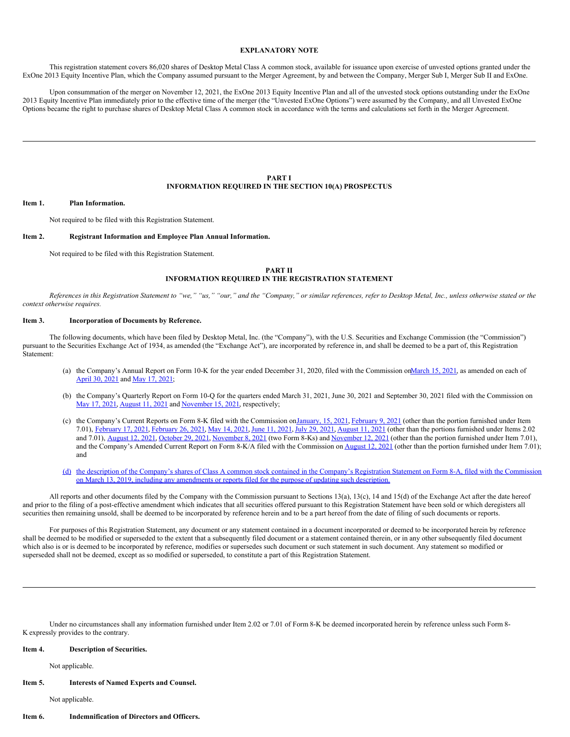#### **EXPLANATORY NOTE**

This registration statement covers 86,020 shares of Desktop Metal Class A common stock, available for issuance upon exercise of unvested options granted under the ExOne 2013 Equity Incentive Plan, which the Company assumed pursuant to the Merger Agreement, by and between the Company, Merger Sub I, Merger Sub II and ExOne.

Upon consummation of the merger on November 12, 2021, the ExOne 2013 Equity Incentive Plan and all of the unvested stock options outstanding under the ExOne 2013 Equity Incentive Plan immediately prior to the effective time of the merger (the "Unvested ExOne Options") were assumed by the Company, and all Unvested ExOne Options became the right to purchase shares of Desktop Metal Class A common stock in accordance with the terms and calculations set forth in the Merger Agreement.

#### **PART I INFORMATION REQUIRED IN THE SECTION 10(A) PROSPECTUS**

#### **Item 1. Plan Information.**

Not required to be filed with this Registration Statement.

#### **Item 2. Registrant Information and Employee Plan Annual Information.**

Not required to be filed with this Registration Statement.

## **PART II INFORMATION REQUIRED IN THE REGISTRATION STATEMENT**

References in this Registration Statement to "we," "us," "our," and the "Company," or similar references, refer to Desktop Metal, Inc., unless otherwise stated or the *context otherwise requires.*

#### **Item 3. Incorporation of Documents by Reference.**

The following documents, which have been filed by Desktop Metal, Inc. (the "Company"), with the U.S. Securities and Exchange Commission (the "Commission") pursuant to the Securities Exchange Act of 1934, as amended (the "Exchange Act"), are incorporated by reference in, and shall be deemed to be a part of, this Registration Statement:

- (a) the Company's Annual Report on Form 10-K for the year ended December 31, 2020, filed with the Commission on March 15, 2021, as amended on each of [April](http://www.sec.gov/ix?doc=/Archives/edgar/data/1754820/000110465921058993/tm2114588d1_10ka.htm) 30, [2021](http://www.sec.gov/ix?doc=/Archives/edgar/data/1754820/000155837021007334/dm-20201231x10ka.htm) and May 17, 2021;
- (b) the Company's Quarterly Report on Form 10-Q for the quarters ended March 31, 2021, June 30, 2021 and September 30, 2021 filed with the Commission on May 17, [2021](http://www.sec.gov/ix?doc=/Archives/edgar/data/1754820/000155837021007394/dm-20210331x10q.htm), [August](http://www.sec.gov/ix?doc=/Archives/edgar/data/1754820/000155837021011316/dm-20210630x10q.htm) 11, 2021 and [November](http://www.sec.gov/ix?doc=/Archives/edgar/data/1754820/000155837021016006/dm-20210930x10q.htm) 15, 2021, respectively;
- (c) the Company's Current Reports on Form 8-K filed with the Commission on[January,](http://www.sec.gov/Archives/edgar/data/1754820/000110465921004842/tm2038932d8_8k.htm) 15, 2021, [February](http://www.sec.gov/Archives/edgar/data/1754820/000110465921016379/tm215836d1_8k.htm) 9, 2021 (other than the portion furnished under Item 7.01), [February](http://www.sec.gov/Archives/edgar/data/1754820/000110465921024668/tm216648d1_8k.htm) 17, 2021, [February](http://www.sec.gov/Archives/edgar/data/1754820/000110465921028709/tm218090d1_8k.htm) 26, 2021, May 14, [2021](http://www.sec.gov/Archives/edgar/data/1754820/000110465921066979/tm2116407d1_8k.htm), June 11, [2021](http://www.sec.gov/Archives/edgar/data/1754820/000110465921080117/tm2119401d2_8k.htm), July 29, [2021](http://www.sec.gov/Archives/edgar/data/1754820/000110465921097196/tm2123546d1_8k.htm), [August](http://www.sec.gov/ix?doc=/Archives/edgar/data/1754820/000110465921103542/tm2124817d1_8k.htm) 11, 2021 (other than the portions furnished under Items 2.02 and 7.01), **[August](http://www.sec.gov/ix?doc=/Archives/edgar/data/1754820/000110465921104178/tm2124914d1_8ka.htm) 12, 2021, [October](http://www.sec.gov/ix?doc=/Archives/edgar/data/1754820/000110465921131425/tm2131293d1_8k.htm) 29, 2021, [November](https://www.sec.gov/ix?doc=/Archives/edgar/data/1754820/000110465921138222/tm2132753d1_8k.htm) 8, 2021** (two Form 8-Ks) and November 12, 2021 (other than the portion furnished under Item 7.01), and the Company's Amended Current Report on Form 8-K/A filed with the Commission on [August](http://www.sec.gov/ix?doc=/Archives/edgar/data/1754820/000110465921104178/tm2124914d1_8ka.htm) 12, 2021 (other than the portion furnished under Item 7.01); and
- [\(d\)](http://www.sec.gov/Archives/edgar/data/1754820/000121390019004020/f8a12b031319_trineacq.htm) the description of the Company's shares of Class A common stock contained in the Company's Registration Statement on Form 8-A, filed with the Commission on March 13, 2019, including any [amendments](http://www.sec.gov/Archives/edgar/data/1754820/000121390019004020/f8a12b031319_trineacq.htm) or reports filed for the purpose of updating such description.

All reports and other documents filed by the Company with the Commission pursuant to Sections 13(a), 13(c), 14 and 15(d) of the Exchange Act after the date hereof and prior to the filing of a post-effective amendment which indicates that all securities offered pursuant to this Registration Statement have been sold or which deregisters all securities then remaining unsold, shall be deemed to be incorporated by reference herein and to be a part hereof from the date of filing of such documents or reports.

For purposes of this Registration Statement, any document or any statement contained in a document incorporated or deemed to be incorporated herein by reference shall be deemed to be modified or superseded to the extent that a subsequently filed document or a statement contained therein, or in any other subsequently filed document which also is or is deemed to be incorporated by reference, modifies or supersedes such document or such statement in such document. Any statement so modified or superseded shall not be deemed, except as so modified or superseded, to constitute a part of this Registration Statement.

Under no circumstances shall any information furnished under Item 2.02 or 7.01 of Form 8-K be deemed incorporated herein by reference unless such Form 8- K expressly provides to the contrary.

#### **Item 4. Description of Securities.**

Not applicable.

#### **Item 5. Interests of Named Experts and Counsel.**

Not applicable.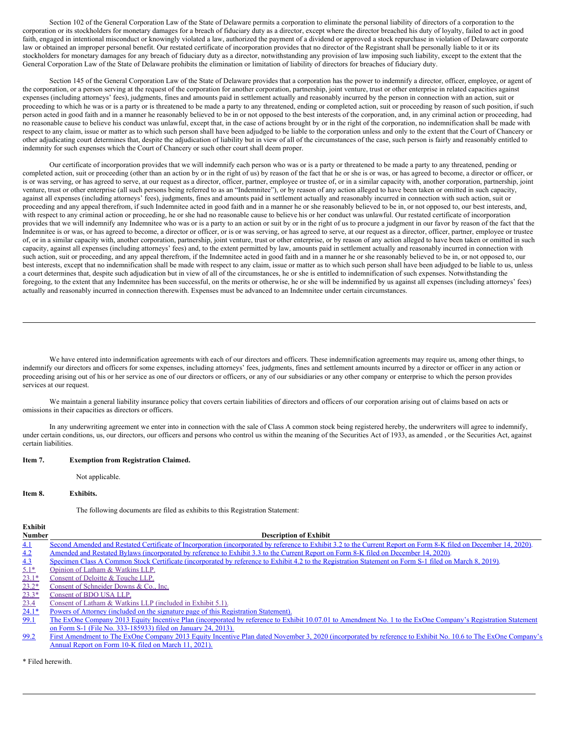Section 102 of the General Corporation Law of the State of Delaware permits a corporation to eliminate the personal liability of directors of a corporation to the corporation or its stockholders for monetary damages for a breach of fiduciary duty as a director, except where the director breached his duty of loyalty, failed to act in good faith, engaged in intentional misconduct or knowingly violated a law, authorized the payment of a dividend or approved a stock repurchase in violation of Delaware corporate law or obtained an improper personal benefit. Our restated certificate of incorporation provides that no director of the Registrant shall be personally liable to it or its stockholders for monetary damages for any breach of fiduciary duty as a director, notwithstanding any provision of law imposing such liability, except to the extent that the General Corporation Law of the State of Delaware prohibits the elimination or limitation of liability of directors for breaches of fiduciary duty.

Section 145 of the General Corporation Law of the State of Delaware provides that a corporation has the power to indemnify a director, officer, employee, or agent of the corporation, or a person serving at the request of the corporation for another corporation, partnership, joint venture, trust or other enterprise in related capacities against expenses (including attorneys' fees), judgments, fines and amounts paid in settlement actually and reasonably incurred by the person in connection with an action, suit or proceeding to which he was or is a party or is threatened to be made a party to any threatened, ending or completed action, suit or proceeding by reason of such position, if such person acted in good faith and in a manner he reasonably believed to be in or not opposed to the best interests of the corporation, and, in any criminal action or proceeding, had no reasonable cause to believe his conduct was unlawful, except that, in the case of actions brought by or in the right of the corporation, no indemnification shall be made with respect to any claim, issue or matter as to which such person shall have been adjudged to be liable to the corporation unless and only to the extent that the Court of Chancery or other adjudicating court determines that, despite the adjudication of liability but in view of all of the circumstances of the case, such person is fairly and reasonably entitled to indemnity for such expenses which the Court of Chancery or such other court shall deem proper.

Our certificate of incorporation provides that we will indemnify each person who was or is a party or threatened to be made a party to any threatened, pending or completed action, suit or proceeding (other than an action by or in the right of us) by reason of the fact that he or she is or was, or has agreed to become, a director or officer, or is or was serving, or has agreed to serve, at our request as a director, officer, partner, employee or trustee of, or in a similar capacity with, another corporation, partnership, joint venture, trust or other enterprise (all such persons being referred to as an "Indemnitee"), or by reason of any action alleged to have been taken or omitted in such capacity, against all expenses (including attorneys' fees), judgments, fines and amounts paid in settlement actually and reasonably incurred in connection with such action, suit or proceeding and any appeal therefrom, if such Indemnitee acted in good faith and in a manner he or she reasonably believed to be in, or not opposed to, our best interests, and, with respect to any criminal action or proceeding, he or she had no reasonable cause to believe his or her conduct was unlawful. Our restated certificate of incorporation provides that we will indemnify any Indemnitee who was or is a party to an action or suit by or in the right of us to procure a judgment in our favor by reason of the fact that the Indemnitee is or was, or has agreed to become, a director or officer, or is or was serving, or has agreed to serve, at our request as a director, officer, partner, employee or trustee of, or in a similar capacity with, another corporation, partnership, joint venture, trust or other enterprise, or by reason of any action alleged to have been taken or omitted in such capacity, against all expenses (including attorneys' fees) and, to the extent permitted by law, amounts paid in settlement actually and reasonably incurred in connection with such action, suit or proceeding, and any appeal therefrom, if the Indemnitee acted in good faith and in a manner he or she reasonably believed to be in, or not opposed to, our best interests, except that no indemnification shall be made with respect to any claim, issue or matter as to which such person shall have been adjudged to be liable to us, unless a court determines that, despite such adjudication but in view of all of the circumstances, he or she is entitled to indemnification of such expenses. Notwithstanding the foregoing, to the extent that any Indemnitee has been successful, on the merits or otherwise, he or she will be indemnified by us against all expenses (including attorneys' fees) actually and reasonably incurred in connection therewith. Expenses must be advanced to an Indemnitee under certain circumstances.

We have entered into indemnification agreements with each of our directors and officers. These indemnification agreements may require us, among other things, to indemnify our directors and officers for some expenses, including attorneys' fees, judgments, fines and settlement amounts incurred by a director or officer in any action or proceeding arising out of his or her service as one of our directors or officers, or any of our subsidiaries or any other company or enterprise to which the person provides services at our request.

We maintain a general liability insurance policy that covers certain liabilities of directors and officers of our corporation arising out of claims based on acts or omissions in their capacities as directors or officers.

In any underwriting agreement we enter into in connection with the sale of Class A common stock being registered hereby, the underwriters will agree to indemnify, under certain conditions, us, our directors, our officers and persons who control us within the meaning of the Securities Act of 1933, as amended, or the Securities Act, against certain liabilities.

#### **Item 7. Exemption from Registration Claimed.**

Not applicable.

#### **Item 8. Exhibits.**

The following documents are filed as exhibits to this Registration Statement:

# **Exhibit**

| <b>Number</b> | <b>Description of Exhibit</b>                                                                                                                                     |
|---------------|-------------------------------------------------------------------------------------------------------------------------------------------------------------------|
| <u>4.1</u>    | Second Amended and Restated Certificate of Incorporation (incorporated by reference to Exhibit 3.2 to the Current Report on Form 8-K filed on December 14, 2020). |
| 4.2           | Amended and Restated Bylaws (incorporated by reference to Exhibit 3.3 to the Current Report on Form 8-K filed on December 14, 2020).                              |
| 4.3           | Specimen Class A Common Stock Certificate (incorporated by reference to Exhibit 4.2 to the Registration Statement on Form S-1 filed on March 8, 2019).            |
| $5.1*$        | Opinion of Latham & Watkins LLP.                                                                                                                                  |
| $23.1*$       | Consent of Deloitte & Touche LLP.                                                                                                                                 |
| $23.2*$       | Consent of Schneider Downs & Co., Inc.                                                                                                                            |
| $23.3*$       | Consent of BDO USA LLP.                                                                                                                                           |
| 23.4          | Consent of Latham & Watkins LLP (included in Exhibit 5.1).                                                                                                        |
| $24.1*$       | Powers of Attorney (included on the signature page of this Registration Statement).                                                                               |
| 99.1          | The ExOne Company 2013 Equity Incentive Plan (incorporated by reference to Exhibit 10.07.01 to Amendment No. 1 to the ExOne Company's Registration Statement      |
|               |                                                                                                                                                                   |

- on Form S-1 (File No. 333-185933) filed on January 24, 2013).
- [99.2](http://www.sec.gov/Archives/edgar/data/1561627/000119312513022189/d461168dex100702.htm) First Amendment to The ExOne Company 2013 Equity Incentive Plan dated November 3, 2020 [\(incorporated](http://www.sec.gov/Archives/edgar/data/1561627/000119312513022189/d461168dex100702.htm) by reference to Exhibit No. 10.6 to The ExOne Company's Annual Report on Form 10-K filed on March 11, 2021).

\* Filed herewith.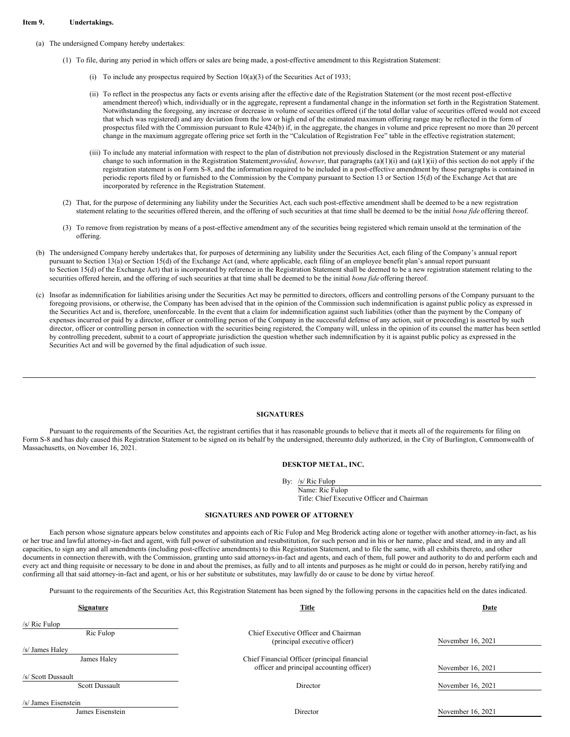#### **Item 9. Undertakings.**

#### (a) The undersigned Company hereby undertakes:

- (1) To file, during any period in which offers or sales are being made, a post-effective amendment to this Registration Statement:
	- (i) To include any prospectus required by Section  $10(a)(3)$  of the Securities Act of 1933;
	- (ii) To reflect in the prospectus any facts or events arising after the effective date of the Registration Statement (or the most recent post-effective amendment thereof) which, individually or in the aggregate, represent a fundamental change in the information set forth in the Registration Statement. Notwithstanding the foregoing, any increase or decrease in volume of securities offered (if the total dollar value of securities offered would not exceed that which was registered) and any deviation from the low or high end of the estimated maximum offering range may be reflected in the form of prospectus filed with the Commission pursuant to Rule 424(b) if, in the aggregate, the changes in volume and price represent no more than 20 percent change in the maximum aggregate offering price set forth in the "Calculation of Registration Fee" table in the effective registration statement;
	- (iii) To include any material information with respect to the plan of distribution not previously disclosed in the Registration Statement or any material change to such information in the Registration Statement;*provided, however*, that paragraphs (a)(1)(i) and (a)(1)(ii) of this section do not apply if the registration statement is on Form S-8, and the information required to be included in a post-effective amendment by those paragraphs is contained in periodic reports filed by or furnished to the Commission by the Company pursuant to Section 13 or Section 15(d) of the Exchange Act that are incorporated by reference in the Registration Statement.
- (2) That, for the purpose of determining any liability under the Securities Act, each such post-effective amendment shall be deemed to be a new registration statement relating to the securities offered therein, and the offering of such securities at that time shall be deemed to be the initial *bona fide* offering thereof.
- (3) To remove from registration by means of a post-effective amendment any of the securities being registered which remain unsold at the termination of the offering.
- (b) The undersigned Company hereby undertakes that, for purposes of determining any liability under the Securities Act, each filing of the Company's annual report pursuant to Section 13(a) or Section 15(d) of the Exchange Act (and, where applicable, each filing of an employee benefit plan's annual report pursuant to Section 15(d) of the Exchange Act) that is incorporated by reference in the Registration Statement shall be deemed to be a new registration statement relating to the securities offered herein, and the offering of such securities at that time shall be deemed to be the initial *bona fide* offering thereof.
- (c) Insofar as indemnification for liabilities arising under the Securities Act may be permitted to directors, officers and controlling persons of the Company pursuant to the foregoing provisions, or otherwise, the Company has been advised that in the opinion of the Commission such indemnification is against public policy as expressed in the Securities Act and is, therefore, unenforceable. In the event that a claim for indemnification against such liabilities (other than the payment by the Company of expenses incurred or paid by a director, officer or controlling person of the Company in the successful defense of any action, suit or proceeding) is asserted by such director, officer or controlling person in connection with the securities being registered, the Company will, unless in the opinion of its counsel the matter has been settled by controlling precedent, submit to a court of appropriate jurisdiction the question whether such indemnification by it is against public policy as expressed in the Securities Act and will be governed by the final adjudication of such issue.

#### <span id="page-3-0"></span>**SIGNATURES**

Pursuant to the requirements of the Securities Act, the registrant certifies that it has reasonable grounds to believe that it meets all of the requirements for filing on Form S-8 and has duly caused this Registration Statement to be signed on its behalf by the undersigned, thereunto duly authorized, in the City of Burlington, Commonwealth of Massachusetts, on November 16, 2021.

#### **DESKTOP METAL, INC.**

By: /s/ Ric Fulop

Name: Ric Fulop Title: Chief Executive Officer and Chairman

#### **SIGNATURES AND POWER OF ATTORNEY**

Each person whose signature appears below constitutes and appoints each of Ric Fulop and Meg Broderick acting alone or together with another attorney-in-fact, as his or her true and lawful attorney-in-fact and agent, with full power of substitution and resubstitution, for such person and in his or her name, place and stead, and in any and all capacities, to sign any and all amendments (including post-effective amendments) to this Registration Statement, and to file the same, with all exhibits thereto, and other documents in connection therewith, with the Commission, granting unto said attorneys-in-fact and agents, and each of them, full power and authority to do and perform each and every act and thing requisite or necessary to be done in and about the premises, as fully and to all intents and purposes as he might or could do in person, hereby ratifying and confirming all that said attorney-in-fact and agent, or his or her substitute or substitutes, may lawfully do or cause to be done by virtue hereof.

Pursuant to the requirements of the Securities Act, this Registration Statement has been signed by the following persons in the capacities held on the dates indicated.

| <b>Signature</b>      | Title                                                                                     | Date              |
|-----------------------|-------------------------------------------------------------------------------------------|-------------------|
| $/s/$ Ric Fulop       |                                                                                           |                   |
| Ric Fulop             | Chief Executive Officer and Chairman<br>(principal executive officer)                     | November 16, 2021 |
| /s/ James Haley       |                                                                                           |                   |
| James Haley           | Chief Financial Officer (principal financial<br>officer and principal accounting officer) | November 16, 2021 |
| /s/ Scott Dussault    |                                                                                           |                   |
| <b>Scott Dussault</b> | Director                                                                                  | November 16, 2021 |
| /s/ James Eisenstein  |                                                                                           |                   |
| James Eisenstein      | Director                                                                                  | November 16, 2021 |
|                       |                                                                                           |                   |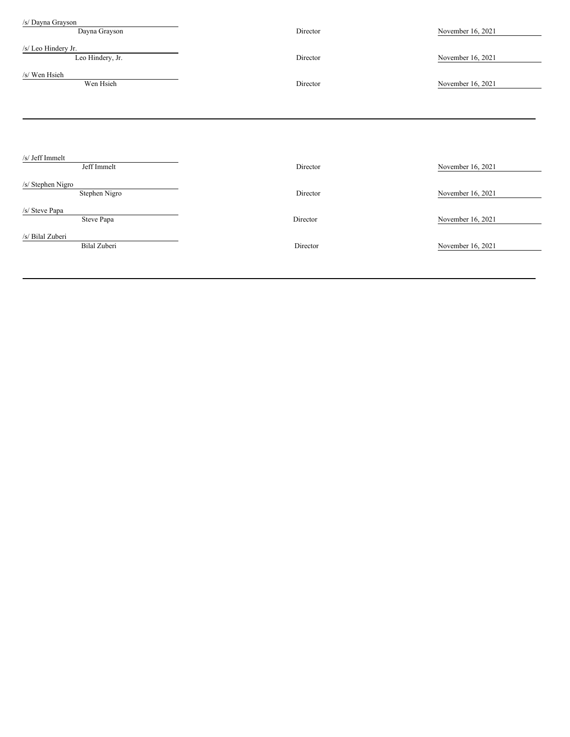| /s/ Dayna Grayson                       |          |                   |
|-----------------------------------------|----------|-------------------|
| Dayna Grayson                           | Director | November 16, 2021 |
| /s/ Leo Hindery Jr.<br>Leo Hindery, Jr. | Director | November 16, 2021 |
| /s/ Wen Hsieh<br>Wen Hsieh              | Director | November 16, 2021 |
|                                         |          |                   |
|                                         |          |                   |
| /s/ Jeff Immelt<br>Jeff Immelt          | Director | November 16, 2021 |
| /s/ Stephen Nigro<br>Stephen Nigro      | Director | November 16, 2021 |
| /s/ Steve Papa<br>Steve Papa            | Director | November 16, 2021 |
| /s/ Bilal Zuberi<br>Bilal Zuberi        | Director | November 16, 2021 |
|                                         |          |                   |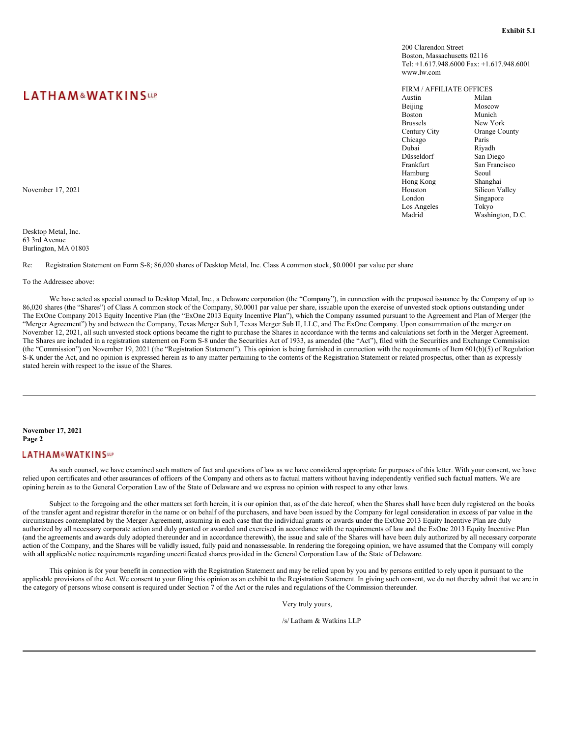# <span id="page-5-0"></span>**LATHAM&WATKINSUP**

Desktop Metal, Inc. 63 3rd Avenue Burlington, MA 01803

Re: Registration Statement on Form S-8; 86,020 shares of Desktop Metal, Inc. Class Acommon stock, \$0.0001 par value per share

To the Addressee above:

We have acted as special counsel to Desktop Metal, Inc., a Delaware corporation (the "Company"), in connection with the proposed issuance by the Company of up to 86,020 shares (the "Shares") of Class A common stock of the Company, \$0.0001 par value per share, issuable upon the exercise of unvested stock options outstanding under The ExOne Company 2013 Equity Incentive Plan (the "ExOne 2013 Equity Incentive Plan"), which the Company assumed pursuant to the Agreement and Plan of Merger (the "Merger Agreement") by and between the Company, Texas Merger Sub I, Texas Merger Sub II, LLC, and The ExOne Company. Upon consummation of the merger on November 12, 2021, all such unvested stock options became the right to purchase the Shares in accordance with the terms and calculations set forth in the Merger Agreement. The Shares are included in a registration statement on Form S-8 under the Securities Act of 1933, as amended (the "Act"), filed with the Securities and Exchange Commission (the "Commission") on November 19, 2021 (the "Registration Statement"). This opinion is being furnished in connection with the requirements of Item 601(b)(5) of Regulation S-K under the Act, and no opinion is expressed herein as to any matter pertaining to the contents of the Registration Statement or related prospectus, other than as expressly stated herein with respect to the issue of the Shares.

#### **November 17, 2021 Page 2**

### **LATHAM&WATKINSUP**

As such counsel, we have examined such matters of fact and questions of law as we have considered appropriate for purposes of this letter. With your consent, we have relied upon certificates and other assurances of officers of the Company and others as to factual matters without having independently verified such factual matters. We are opining herein as to the General Corporation Law of the State of Delaware and we express no opinion with respect to any other laws.

Subject to the foregoing and the other matters set forth herein, it is our opinion that, as of the date hereof, when the Shares shall have been duly registered on the books of the transfer agent and registrar therefor in the name or on behalf of the purchasers, and have been issued by the Company for legal consideration in excess of par value in the circumstances contemplated by the Merger Agreement, assuming in each case that the individual grants or awards under the ExOne 2013 Equity Incentive Plan are duly authorized by all necessary corporate action and duly granted or awarded and exercised in accordance with the requirements of law and the ExOne 2013 Equity Incentive Plan (and the agreements and awards duly adopted thereunder and in accordance therewith), the issue and sale of the Shares will have been duly authorized by all necessary corporate action of the Company, and the Shares will be validly issued, fully paid and nonassessable. In rendering the foregoing opinion, we have assumed that the Company will comply with all applicable notice requirements regarding uncertificated shares provided in the General Corporation Law of the State of Delaware.

This opinion is for your benefit in connection with the Registration Statement and may be relied upon by you and by persons entitled to rely upon it pursuant to the applicable provisions of the Act. We consent to your filing this opinion as an exhibit to the Registration Statement. In giving such consent, we do not thereby admit that we are in the category of persons whose consent is required under Section 7 of the Act or the rules and regulations of the Commission thereunder.

Very truly yours,

/s/ Latham & Watkins LLP

200 Clarendon Street Boston, Massachusetts 02116 Tel: +1.617.948.6000 Fax: +1.617.948.6001 www.lw.com

# FIRM / AFFILIATE OFFICES

| LAIMAM <sup>&amp;</sup> WAIKINS <sup>up</sup> | Austin          | Milan                |
|-----------------------------------------------|-----------------|----------------------|
|                                               | Beijing         | Moscow               |
|                                               | <b>Boston</b>   | Munich               |
|                                               | <b>Brussels</b> | New York             |
|                                               | Century City    | <b>Orange County</b> |
|                                               | Chicago         | Paris                |
|                                               | Dubai           | Riyadh               |
|                                               | Düsseldorf      | San Diego            |
|                                               | Frankfurt       | San Francisco        |
|                                               | Hamburg         | Seoul                |
|                                               | Hong Kong       | Shanghai             |
| November 17, 2021                             | Houston         | Silicon Valley       |
|                                               | London          | Singapore            |
|                                               | Los Angeles     | Tokyo                |
|                                               | Madrid          | Washington, D.C.     |
|                                               |                 |                      |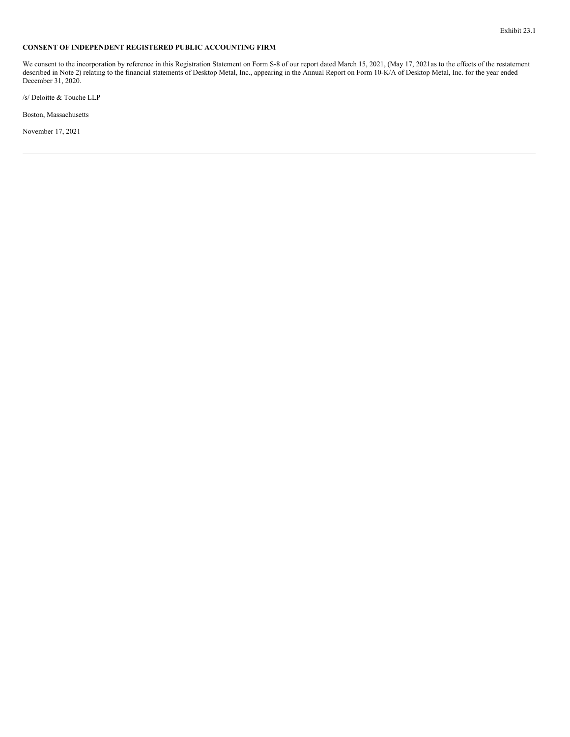# <span id="page-6-0"></span>**CONSENT OF INDEPENDENT REGISTERED PUBLIC ACCOUNTING FIRM**

We consent to the incorporation by reference in this Registration Statement on Form S-8 of our report dated March 15, 2021, (May 17, 2021 as to the effects of the restatement described in Note 2) relating to the financial statements of Desktop Metal, Inc., appearing in the Annual Report on Form 10-K/A of Desktop Metal, Inc. for the year ended December 31, 2020.

/s/ Deloitte & Touche LLP

Boston, Massachusetts

November 17, 2021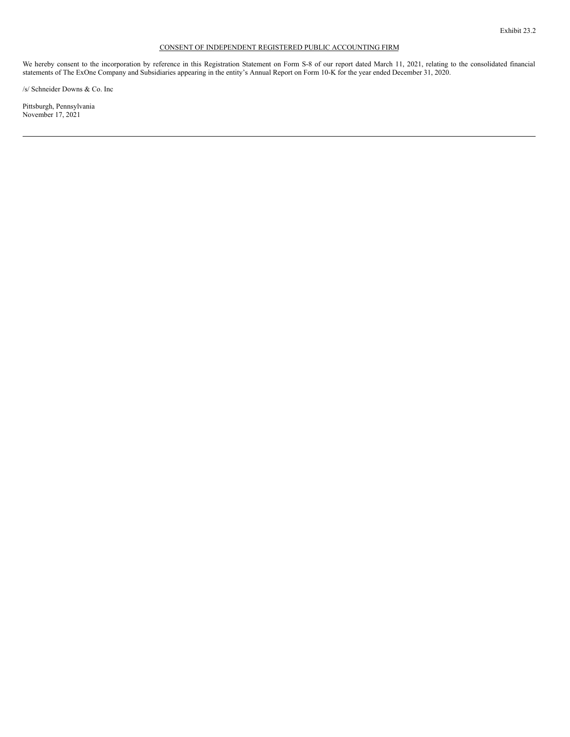# CONSENT OF INDEPENDENT REGISTERED PUBLIC ACCOUNTING FIRM

<span id="page-7-0"></span>We hereby consent to the incorporation by reference in this Registration Statement on Form S-8 of our report dated March 11, 2021, relating to the consolidated financial statements of The ExOne Company and Subsidiaries appearing in the entity's Annual Report on Form 10-K for the year ended December 31, 2020.

/s/ Schneider Downs & Co. Inc

Pittsburgh, Pennsylvania November 17, 2021